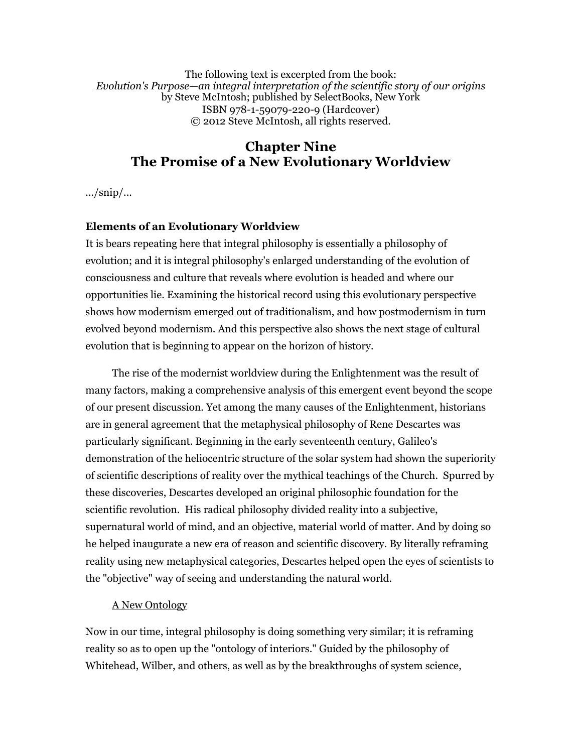The following text is excerpted from the book: *Evolution's Purpose—an integral interpretation of the scientific story of our origins* by Steve McIntosh; published by SelectBooks, New York ISBN 978-1-59079-220-9 (Hardcover) © 2012 Steve McIntosh, all rights reserved.

# **Chapter Nine The Promise of a New Evolutionary Worldview**

 $\ldots$ /snip/ $\ldots$ 

## **Elements of an Evolutionary Worldview**

It is bears repeating here that integral philosophy is essentially a philosophy of evolution; and it is integral philosophy's enlarged understanding of the evolution of consciousness and culture that reveals where evolution is headed and where our opportunities lie. Examining the historical record using this evolutionary perspective shows how modernism emerged out of traditionalism, and how postmodernism in turn evolved beyond modernism. And this perspective also shows the next stage of cultural evolution that is beginning to appear on the horizon of history.

 The rise of the modernist worldview during the Enlightenment was the result of many factors, making a comprehensive analysis of this emergent event beyond the scope of our present discussion. Yet among the many causes of the Enlightenment, historians are in general agreement that the metaphysical philosophy of Rene Descartes was particularly significant. Beginning in the early seventeenth century, Galileo's demonstration of the heliocentric structure of the solar system had shown the superiority of scientific descriptions of reality over the mythical teachings of the Church. Spurred by these discoveries, Descartes developed an original philosophic foundation for the scientific revolution. His radical philosophy divided reality into a subjective, supernatural world of mind, and an objective, material world of matter. And by doing so he helped inaugurate a new era of reason and scientific discovery. By literally reframing reality using new metaphysical categories, Descartes helped open the eyes of scientists to the "objective" way of seeing and understanding the natural world.

## A New Ontology

Now in our time, integral philosophy is doing something very similar; it is reframing reality so as to open up the "ontology of interiors." Guided by the philosophy of Whitehead, Wilber, and others, as well as by the breakthroughs of system science,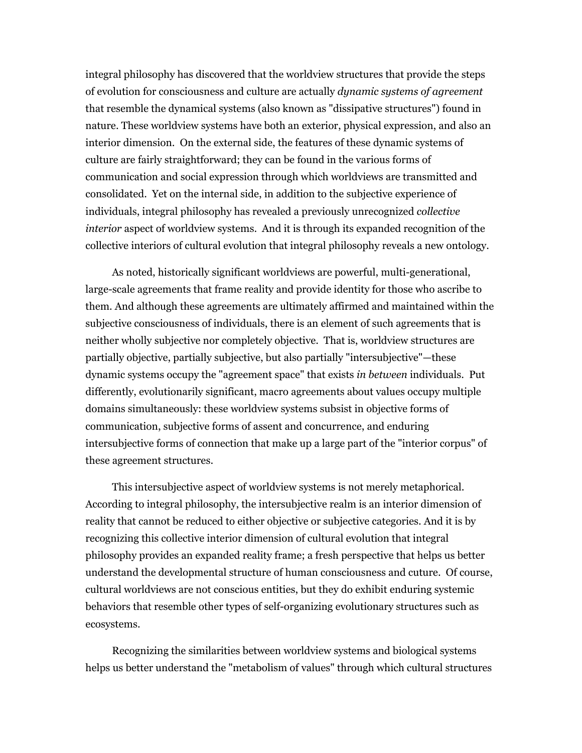integral philosophy has discovered that the worldview structures that provide the steps of evolution for consciousness and culture are actually *dynamic systems of agreement* that resemble the dynamical systems (also known as "dissipative structures") found in nature. These worldview systems have both an exterior, physical expression, and also an interior dimension. On the external side, the features of these dynamic systems of culture are fairly straightforward; they can be found in the various forms of communication and social expression through which worldviews are transmitted and consolidated. Yet on the internal side, in addition to the subjective experience of individuals, integral philosophy has revealed a previously unrecognized *collective interior* aspect of worldview systems. And it is through its expanded recognition of the collective interiors of cultural evolution that integral philosophy reveals a new ontology.

 As noted, historically significant worldviews are powerful, multi-generational, large-scale agreements that frame reality and provide identity for those who ascribe to them. And although these agreements are ultimately affirmed and maintained within the subjective consciousness of individuals, there is an element of such agreements that is neither wholly subjective nor completely objective. That is, worldview structures are partially objective, partially subjective, but also partially "intersubjective"—these dynamic systems occupy the "agreement space" that exists *in between* individuals. Put differently, evolutionarily significant, macro agreements about values occupy multiple domains simultaneously: these worldview systems subsist in objective forms of communication, subjective forms of assent and concurrence, and enduring intersubjective forms of connection that make up a large part of the "interior corpus" of these agreement structures.

 This intersubjective aspect of worldview systems is not merely metaphorical. According to integral philosophy, the intersubjective realm is an interior dimension of reality that cannot be reduced to either objective or subjective categories. And it is by recognizing this collective interior dimension of cultural evolution that integral philosophy provides an expanded reality frame; a fresh perspective that helps us better understand the developmental structure of human consciousness and cuture. Of course, cultural worldviews are not conscious entities, but they do exhibit enduring systemic behaviors that resemble other types of self-organizing evolutionary structures such as ecosystems.

 Recognizing the similarities between worldview systems and biological systems helps us better understand the "metabolism of values" through which cultural structures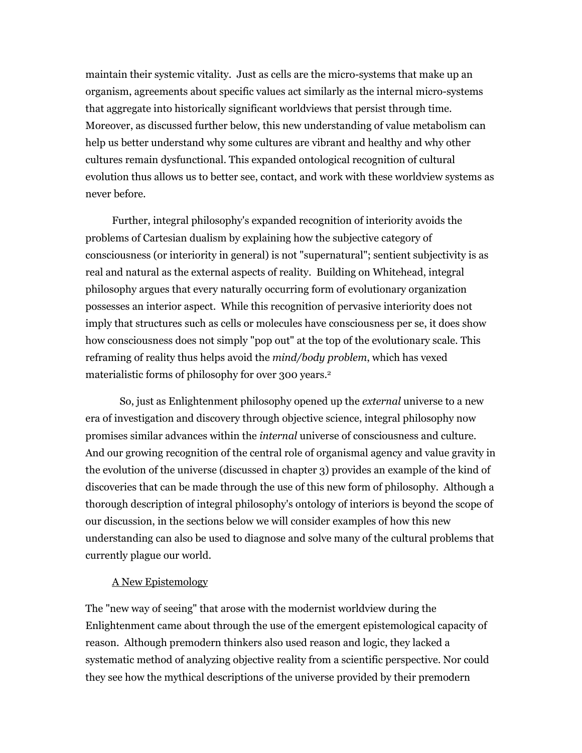maintain their systemic vitality. Just as cells are the micro-systems that make up an organism, agreements about specific values act similarly as the internal micro-systems that aggregate into historically significant worldviews that persist through time. Moreover, as discussed further below, this new understanding of value metabolism can help us better understand why some cultures are vibrant and healthy and why other cultures remain dysfunctional. This expanded ontological recognition of cultural evolution thus allows us to better see, contact, and work with these worldview systems as never before.

 Further, integral philosophy's expanded recognition of interiority avoids the problems of Cartesian dualism by explaining how the subjective category of consciousness (or interiority in general) is not "supernatural"; sentient subjectivity is as real and natural as the external aspects of reality. Building on Whitehead, integral philosophy argues that every naturally occurring form of evolutionary organization possesses an interior aspect. While this recognition of pervasive interiority does not imply that structures such as cells or molecules have consciousness per se, it does show how consciousness does not simply "pop out" at the top of the evolutionary scale. This reframing of reality thus helps avoid the *mind/body problem*, which has vexed materialistic forms of philosophy for over 300 years.<sup>2</sup>

 So, just as Enlightenment philosophy opened up the *external* universe to a new era of investigation and discovery through objective science, integral philosophy now promises similar advances within the *internal* universe of consciousness and culture. And our growing recognition of the central role of organismal agency and value gravity in the evolution of the universe (discussed in chapter 3) provides an example of the kind of discoveries that can be made through the use of this new form of philosophy. Although a thorough description of integral philosophy's ontology of interiors is beyond the scope of our discussion, in the sections below we will consider examples of how this new understanding can also be used to diagnose and solve many of the cultural problems that currently plague our world.

### A New Epistemology

The "new way of seeing" that arose with the modernist worldview during the Enlightenment came about through the use of the emergent epistemological capacity of reason. Although premodern thinkers also used reason and logic, they lacked a systematic method of analyzing objective reality from a scientific perspective. Nor could they see how the mythical descriptions of the universe provided by their premodern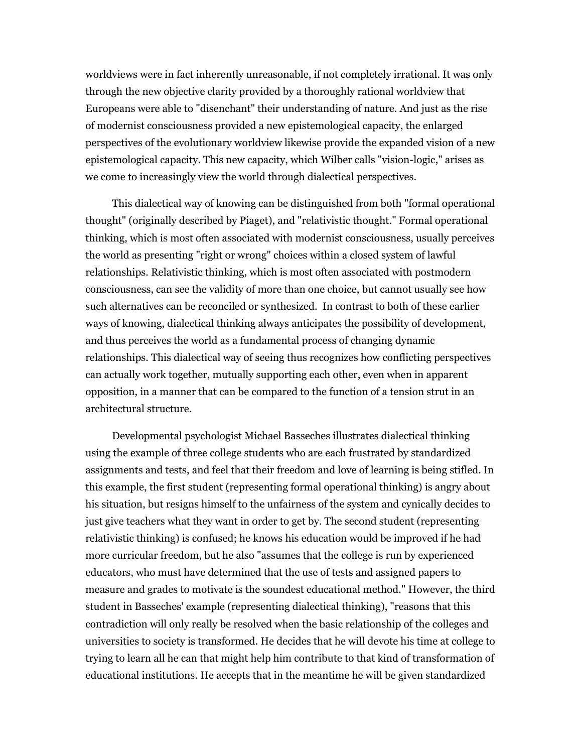worldviews were in fact inherently unreasonable, if not completely irrational. It was only through the new objective clarity provided by a thoroughly rational worldview that Europeans were able to "disenchant" their understanding of nature. And just as the rise of modernist consciousness provided a new epistemological capacity, the enlarged perspectives of the evolutionary worldview likewise provide the expanded vision of a new epistemological capacity. This new capacity, which Wilber calls "vision-logic," arises as we come to increasingly view the world through dialectical perspectives.

 This dialectical way of knowing can be distinguished from both "formal operational thought" (originally described by Piaget), and "relativistic thought." Formal operational thinking, which is most often associated with modernist consciousness, usually perceives the world as presenting "right or wrong" choices within a closed system of lawful relationships. Relativistic thinking, which is most often associated with postmodern consciousness, can see the validity of more than one choice, but cannot usually see how such alternatives can be reconciled or synthesized. In contrast to both of these earlier ways of knowing, dialectical thinking always anticipates the possibility of development, and thus perceives the world as a fundamental process of changing dynamic relationships. This dialectical way of seeing thus recognizes how conflicting perspectives can actually work together, mutually supporting each other, even when in apparent opposition, in a manner that can be compared to the function of a tension strut in an architectural structure.

 Developmental psychologist Michael Basseches illustrates dialectical thinking using the example of three college students who are each frustrated by standardized assignments and tests, and feel that their freedom and love of learning is being stifled. In this example, the first student (representing formal operational thinking) is angry about his situation, but resigns himself to the unfairness of the system and cynically decides to just give teachers what they want in order to get by. The second student (representing relativistic thinking) is confused; he knows his education would be improved if he had more curricular freedom, but he also "assumes that the college is run by experienced educators, who must have determined that the use of tests and assigned papers to measure and grades to motivate is the soundest educational method." However, the third student in Basseches' example (representing dialectical thinking), "reasons that this contradiction will only really be resolved when the basic relationship of the colleges and universities to society is transformed. He decides that he will devote his time at college to trying to learn all he can that might help him contribute to that kind of transformation of educational institutions. He accepts that in the meantime he will be given standardized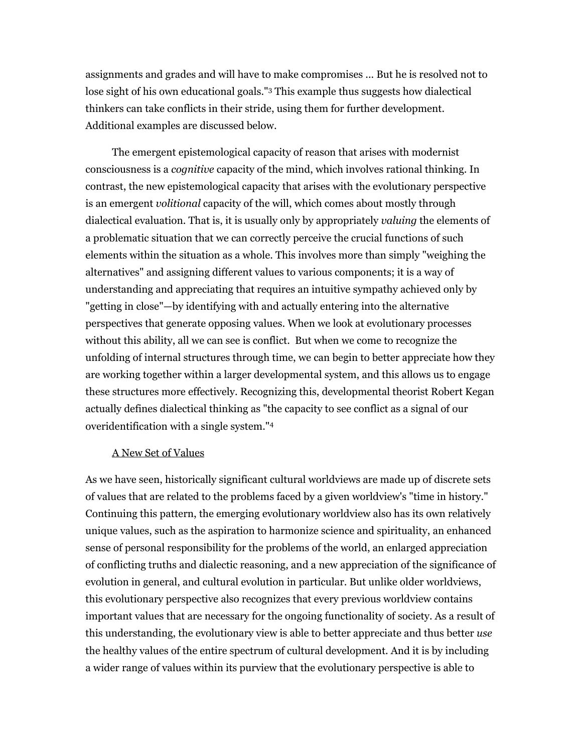assignments and grades and will have to make compromises ... But he is resolved not to lose sight of his own educational goals."3 This example thus suggests how dialectical thinkers can take conflicts in their stride, using them for further development. Additional examples are discussed below.

 The emergent epistemological capacity of reason that arises with modernist consciousness is a *cognitive* capacity of the mind, which involves rational thinking. In contrast, the new epistemological capacity that arises with the evolutionary perspective is an emergent *volitional* capacity of the will, which comes about mostly through dialectical evaluation. That is, it is usually only by appropriately *valuing* the elements of a problematic situation that we can correctly perceive the crucial functions of such elements within the situation as a whole. This involves more than simply "weighing the alternatives" and assigning different values to various components; it is a way of understanding and appreciating that requires an intuitive sympathy achieved only by "getting in close"—by identifying with and actually entering into the alternative perspectives that generate opposing values. When we look at evolutionary processes without this ability, all we can see is conflict. But when we come to recognize the unfolding of internal structures through time, we can begin to better appreciate how they are working together within a larger developmental system, and this allows us to engage these structures more effectively. Recognizing this, developmental theorist Robert Kegan actually defines dialectical thinking as "the capacity to see conflict as a signal of our overidentification with a single system."4

### A New Set of Values

As we have seen, historically significant cultural worldviews are made up of discrete sets of values that are related to the problems faced by a given worldview's "time in history." Continuing this pattern, the emerging evolutionary worldview also has its own relatively unique values, such as the aspiration to harmonize science and spirituality, an enhanced sense of personal responsibility for the problems of the world, an enlarged appreciation of conflicting truths and dialectic reasoning, and a new appreciation of the significance of evolution in general, and cultural evolution in particular. But unlike older worldviews, this evolutionary perspective also recognizes that every previous worldview contains important values that are necessary for the ongoing functionality of society. As a result of this understanding, the evolutionary view is able to better appreciate and thus better *use* the healthy values of the entire spectrum of cultural development. And it is by including a wider range of values within its purview that the evolutionary perspective is able to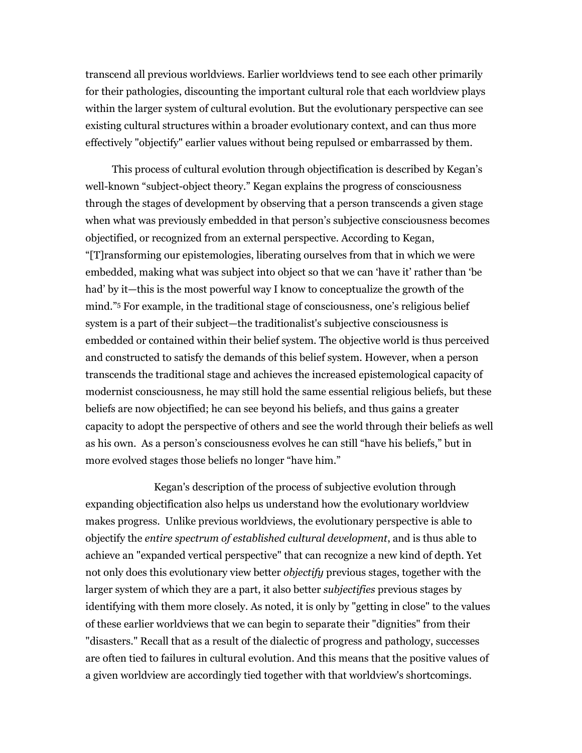transcend all previous worldviews. Earlier worldviews tend to see each other primarily for their pathologies, discounting the important cultural role that each worldview plays within the larger system of cultural evolution. But the evolutionary perspective can see existing cultural structures within a broader evolutionary context, and can thus more effectively "objectify" earlier values without being repulsed or embarrassed by them.

 This process of cultural evolution through objectification is described by Kegan's well-known "subject-object theory." Kegan explains the progress of consciousness through the stages of development by observing that a person transcends a given stage when what was previously embedded in that person's subjective consciousness becomes objectified, or recognized from an external perspective. According to Kegan, "[T]ransforming our epistemologies, liberating ourselves from that in which we were embedded, making what was subject into object so that we can 'have it' rather than 'be had' by it—this is the most powerful way I know to conceptualize the growth of the mind."5 For example, in the traditional stage of consciousness, one's religious belief system is a part of their subject—the traditionalist's subjective consciousness is embedded or contained within their belief system. The objective world is thus perceived and constructed to satisfy the demands of this belief system. However, when a person transcends the traditional stage and achieves the increased epistemological capacity of modernist consciousness, he may still hold the same essential religious beliefs, but these beliefs are now objectified; he can see beyond his beliefs, and thus gains a greater capacity to adopt the perspective of others and see the world through their beliefs as well as his own. As a person's consciousness evolves he can still "have his beliefs," but in more evolved stages those beliefs no longer "have him."

 Kegan's description of the process of subjective evolution through expanding objectification also helps us understand how the evolutionary worldview makes progress. Unlike previous worldviews, the evolutionary perspective is able to objectify the *entire spectrum of established cultural development*, and is thus able to achieve an "expanded vertical perspective" that can recognize a new kind of depth. Yet not only does this evolutionary view better *objectify* previous stages, together with the larger system of which they are a part, it also better *subjectifies* previous stages by identifying with them more closely. As noted, it is only by "getting in close" to the values of these earlier worldviews that we can begin to separate their "dignities" from their "disasters." Recall that as a result of the dialectic of progress and pathology, successes are often tied to failures in cultural evolution. And this means that the positive values of a given worldview are accordingly tied together with that worldview's shortcomings.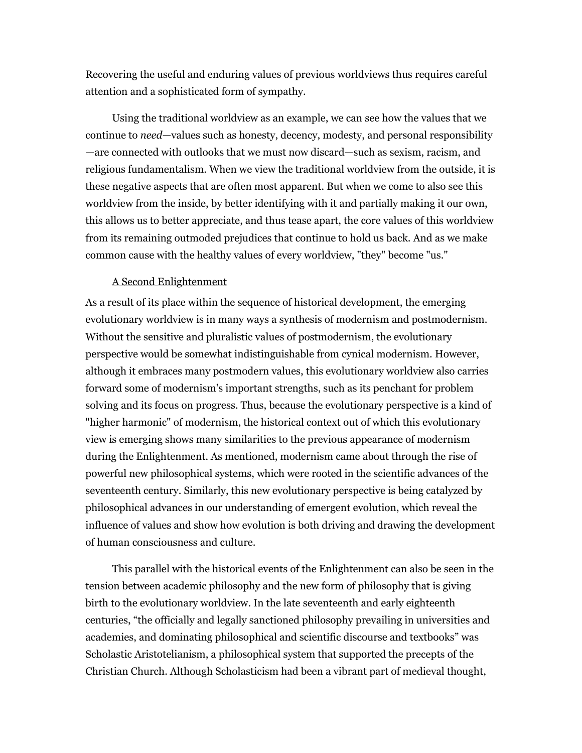Recovering the useful and enduring values of previous worldviews thus requires careful attention and a sophisticated form of sympathy.

 Using the traditional worldview as an example, we can see how the values that we continue to *need*—values such as honesty, decency, modesty, and personal responsibility —are connected with outlooks that we must now discard—such as sexism, racism, and religious fundamentalism. When we view the traditional worldview from the outside, it is these negative aspects that are often most apparent. But when we come to also see this worldview from the inside, by better identifying with it and partially making it our own, this allows us to better appreciate, and thus tease apart, the core values of this worldview from its remaining outmoded prejudices that continue to hold us back. And as we make common cause with the healthy values of every worldview, "they" become "us."

#### A Second Enlightenment

As a result of its place within the sequence of historical development, the emerging evolutionary worldview is in many ways a synthesis of modernism and postmodernism. Without the sensitive and pluralistic values of postmodernism, the evolutionary perspective would be somewhat indistinguishable from cynical modernism. However, although it embraces many postmodern values, this evolutionary worldview also carries forward some of modernism's important strengths, such as its penchant for problem solving and its focus on progress. Thus, because the evolutionary perspective is a kind of "higher harmonic" of modernism, the historical context out of which this evolutionary view is emerging shows many similarities to the previous appearance of modernism during the Enlightenment. As mentioned, modernism came about through the rise of powerful new philosophical systems, which were rooted in the scientific advances of the seventeenth century. Similarly, this new evolutionary perspective is being catalyzed by philosophical advances in our understanding of emergent evolution, which reveal the influence of values and show how evolution is both driving and drawing the development of human consciousness and culture.

 This parallel with the historical events of the Enlightenment can also be seen in the tension between academic philosophy and the new form of philosophy that is giving birth to the evolutionary worldview. In the late seventeenth and early eighteenth centuries, "the officially and legally sanctioned philosophy prevailing in universities and academies, and dominating philosophical and scientific discourse and textbooks" was Scholastic Aristotelianism, a philosophical system that supported the precepts of the Christian Church. Although Scholasticism had been a vibrant part of medieval thought,